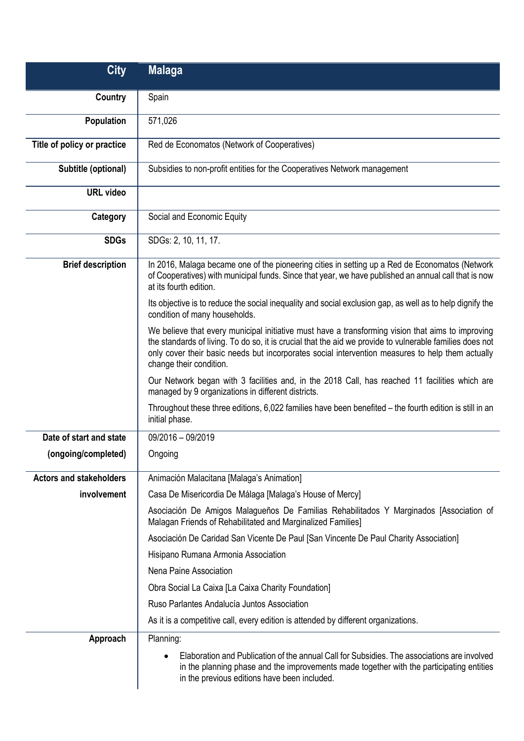| <b>City</b>                    | <b>Malaga</b>                                                                                                                                                                                                                                                                                                                                |
|--------------------------------|----------------------------------------------------------------------------------------------------------------------------------------------------------------------------------------------------------------------------------------------------------------------------------------------------------------------------------------------|
| Country                        | Spain                                                                                                                                                                                                                                                                                                                                        |
| Population                     | 571,026                                                                                                                                                                                                                                                                                                                                      |
| Title of policy or practice    | Red de Economatos (Network of Cooperatives)                                                                                                                                                                                                                                                                                                  |
| Subtitle (optional)            | Subsidies to non-profit entities for the Cooperatives Network management                                                                                                                                                                                                                                                                     |
| <b>URL video</b>               |                                                                                                                                                                                                                                                                                                                                              |
| Category                       | Social and Economic Equity                                                                                                                                                                                                                                                                                                                   |
| <b>SDGs</b>                    | SDGs: 2, 10, 11, 17.                                                                                                                                                                                                                                                                                                                         |
| <b>Brief description</b>       | In 2016, Malaga became one of the pioneering cities in setting up a Red de Economatos (Network<br>of Cooperatives) with municipal funds. Since that year, we have published an annual call that is now<br>at its fourth edition.                                                                                                             |
|                                | Its objective is to reduce the social inequality and social exclusion gap, as well as to help dignify the<br>condition of many households.                                                                                                                                                                                                   |
|                                | We believe that every municipal initiative must have a transforming vision that aims to improving<br>the standards of living. To do so, it is crucial that the aid we provide to vulnerable families does not<br>only cover their basic needs but incorporates social intervention measures to help them actually<br>change their condition. |
|                                | Our Network began with 3 facilities and, in the 2018 Call, has reached 11 facilities which are<br>managed by 9 organizations in different districts.                                                                                                                                                                                         |
|                                | Throughout these three editions, 6,022 families have been benefited - the fourth edition is still in an<br>initial phase.                                                                                                                                                                                                                    |
| Date of start and state        | 09/2016 - 09/2019                                                                                                                                                                                                                                                                                                                            |
| (ongoing/completed)            | Ongoing                                                                                                                                                                                                                                                                                                                                      |
| <b>Actors and stakeholders</b> | Animación Malacitana [Malaga's Animation]                                                                                                                                                                                                                                                                                                    |
| involvement                    | Casa De Misericordia De Málaga [Malaga's House of Mercy]                                                                                                                                                                                                                                                                                     |
|                                | Asociación De Amigos Malagueños De Familias Rehabilitados Y Marginados [Association of<br>Malagan Friends of Rehabilitated and Marginalized Families]                                                                                                                                                                                        |
|                                | Asociación De Caridad San Vicente De Paul [San Vincente De Paul Charity Association]                                                                                                                                                                                                                                                         |
|                                | Hisipano Rumana Armonia Association                                                                                                                                                                                                                                                                                                          |
|                                | Nena Paine Association                                                                                                                                                                                                                                                                                                                       |
|                                | Obra Social La Caixa [La Caixa Charity Foundation]                                                                                                                                                                                                                                                                                           |
|                                | Ruso Parlantes Andalucía Juntos Association                                                                                                                                                                                                                                                                                                  |
|                                | As it is a competitive call, every edition is attended by different organizations.                                                                                                                                                                                                                                                           |
| Approach                       | Planning:                                                                                                                                                                                                                                                                                                                                    |
|                                | Elaboration and Publication of the annual Call for Subsidies. The associations are involved<br>in the planning phase and the improvements made together with the participating entities<br>in the previous editions have been included.                                                                                                      |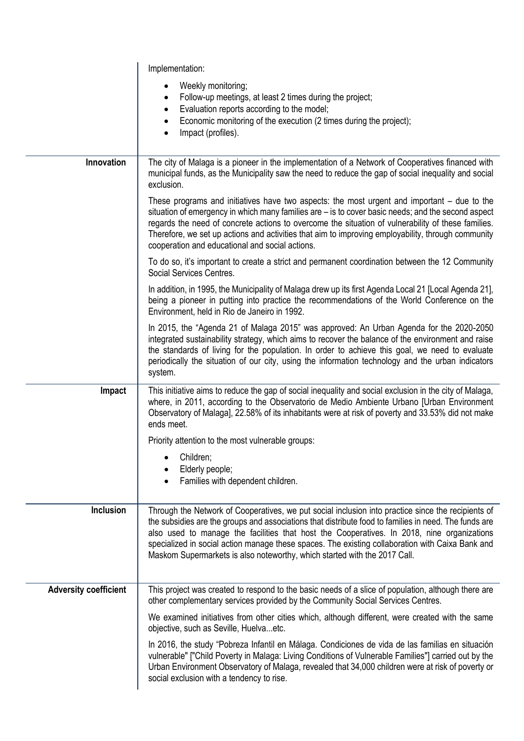|                              | Implementation:                                                                                                                                                                                                                                                                                                                                                                                                                                                                            |
|------------------------------|--------------------------------------------------------------------------------------------------------------------------------------------------------------------------------------------------------------------------------------------------------------------------------------------------------------------------------------------------------------------------------------------------------------------------------------------------------------------------------------------|
|                              | Weekly monitoring;<br>Follow-up meetings, at least 2 times during the project;<br>$\bullet$<br>Evaluation reports according to the model;<br>٠                                                                                                                                                                                                                                                                                                                                             |
|                              | Economic monitoring of the execution (2 times during the project);<br>$\bullet$<br>Impact (profiles).<br>$\bullet$                                                                                                                                                                                                                                                                                                                                                                         |
| Innovation                   | The city of Malaga is a pioneer in the implementation of a Network of Cooperatives financed with<br>municipal funds, as the Municipality saw the need to reduce the gap of social inequality and social<br>exclusion.                                                                                                                                                                                                                                                                      |
|                              | These programs and initiatives have two aspects: the most urgent and important $-$ due to the<br>situation of emergency in which many families are - is to cover basic needs; and the second aspect<br>regards the need of concrete actions to overcome the situation of vulnerability of these families.<br>Therefore, we set up actions and activities that aim to improving employability, through community<br>cooperation and educational and social actions.                         |
|                              | To do so, it's important to create a strict and permanent coordination between the 12 Community<br>Social Services Centres.                                                                                                                                                                                                                                                                                                                                                                |
|                              | In addition, in 1995, the Municipality of Malaga drew up its first Agenda Local 21 [Local Agenda 21],<br>being a pioneer in putting into practice the recommendations of the World Conference on the<br>Environment, held in Rio de Janeiro in 1992.                                                                                                                                                                                                                                       |
|                              | In 2015, the "Agenda 21 of Malaga 2015" was approved: An Urban Agenda for the 2020-2050<br>integrated sustainability strategy, which aims to recover the balance of the environment and raise<br>the standards of living for the population. In order to achieve this goal, we need to evaluate<br>periodically the situation of our city, using the information technology and the urban indicators<br>system.                                                                            |
| Impact                       | This initiative aims to reduce the gap of social inequality and social exclusion in the city of Malaga,<br>where, in 2011, according to the Observatorio de Medio Ambiente Urbano [Urban Environment<br>Observatory of Malaga], 22.58% of its inhabitants were at risk of poverty and 33.53% did not make<br>ends meet.                                                                                                                                                                    |
|                              | Priority attention to the most vulnerable groups:                                                                                                                                                                                                                                                                                                                                                                                                                                          |
|                              | Children;<br>Elderly people;<br>Families with dependent children.                                                                                                                                                                                                                                                                                                                                                                                                                          |
| <b>Inclusion</b>             | Through the Network of Cooperatives, we put social inclusion into practice since the recipients of<br>the subsidies are the groups and associations that distribute food to families in need. The funds are<br>also used to manage the facilities that host the Cooperatives. In 2018, nine organizations<br>specialized in social action manage these spaces. The existing collaboration with Caixa Bank and<br>Maskom Supermarkets is also noteworthy, which started with the 2017 Call. |
| <b>Adversity coefficient</b> | This project was created to respond to the basic needs of a slice of population, although there are<br>other complementary services provided by the Community Social Services Centres.                                                                                                                                                                                                                                                                                                     |
|                              | We examined initiatives from other cities which, although different, were created with the same<br>objective, such as Seville, Huelvaetc.                                                                                                                                                                                                                                                                                                                                                  |
|                              | In 2016, the study "Pobreza Infantil en Málaga. Condiciones de vida de las familias en situación<br>vulnerable" ["Child Poverty in Malaga: Living Conditions of Vulnerable Families"] carried out by the<br>Urban Environment Observatory of Malaga, revealed that 34,000 children were at risk of poverty or<br>social exclusion with a tendency to rise.                                                                                                                                 |